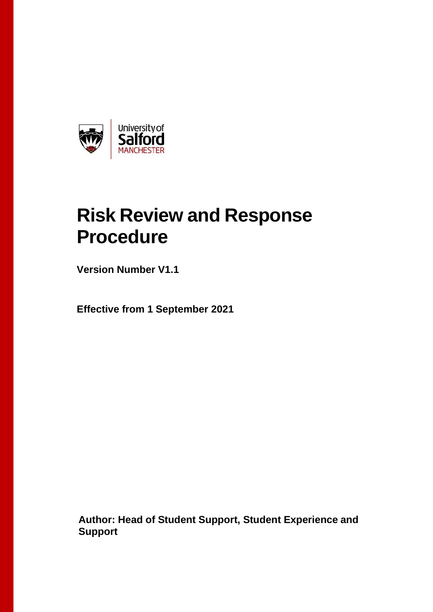

## **Risk Review and Response Procedure**

**Version Number V1.1**

**Effective from 1 September 2021**

**Author: Head of Student Support, Student Experience and Support**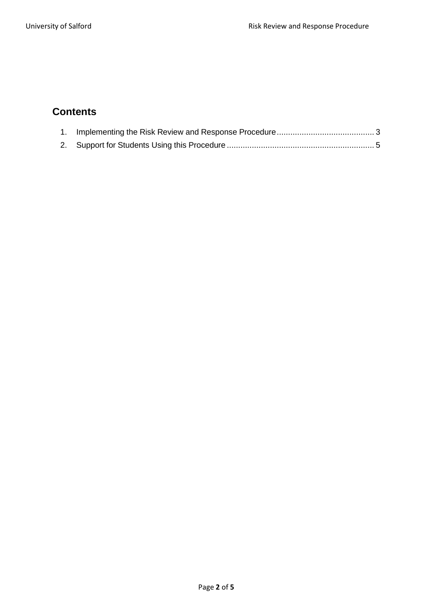## **Contents**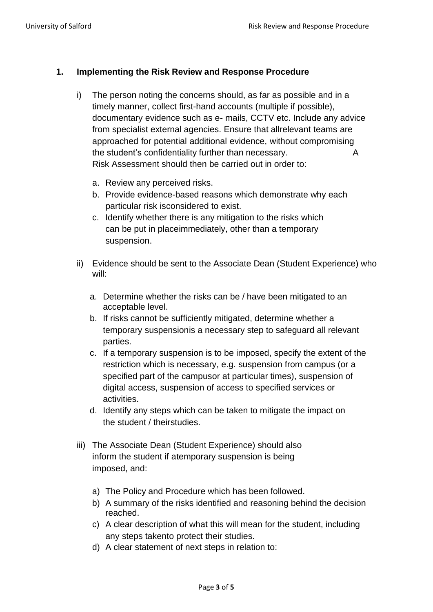## <span id="page-2-0"></span>**1. Implementing the Risk Review and Response Procedure**

- i) The person noting the concerns should, as far as possible and in a timely manner, collect first-hand accounts (multiple if possible), documentary evidence such as e- mails, CCTV etc. Include any advice from specialist external agencies. Ensure that allrelevant teams are approached for potential additional evidence, without compromising the student's confidentiality further than necessary. A Risk Assessment should then be carried out in order to:
	- a. Review any perceived risks.
	- b. Provide evidence-based reasons which demonstrate why each particular risk isconsidered to exist.
	- c. Identify whether there is any mitigation to the risks which can be put in placeimmediately, other than a temporary suspension.
- ii) Evidence should be sent to the Associate Dean (Student Experience) who will:
	- a. Determine whether the risks can be / have been mitigated to an acceptable level.
	- b. If risks cannot be sufficiently mitigated, determine whether a temporary suspensionis a necessary step to safeguard all relevant parties.
	- c. If a temporary suspension is to be imposed, specify the extent of the restriction which is necessary, e.g. suspension from campus (or a specified part of the campusor at particular times), suspension of digital access, suspension of access to specified services or activities.
	- d. Identify any steps which can be taken to mitigate the impact on the student / theirstudies.
- iii) The Associate Dean (Student Experience) should also inform the student if atemporary suspension is being imposed, and:
	- a) The Policy and Procedure which has been followed.
	- b) A summary of the risks identified and reasoning behind the decision reached.
	- c) A clear description of what this will mean for the student, including any steps takento protect their studies.
	- d) A clear statement of next steps in relation to: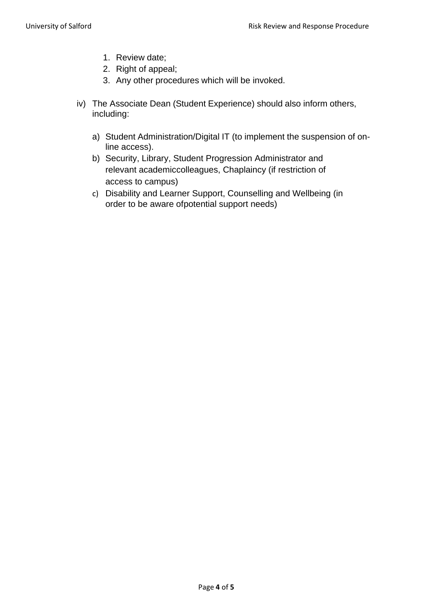- 1. Review date;
- 2. Right of appeal;
- 3. Any other procedures which will be invoked.
- iv) The Associate Dean (Student Experience) should also inform others, including:
	- a) Student Administration/Digital IT (to implement the suspension of online access).
	- b) Security, Library, Student Progression Administrator and relevant academiccolleagues, Chaplaincy (if restriction of access to campus)
	- c) Disability and Learner Support, Counselling and Wellbeing (in order to be aware ofpotential support needs)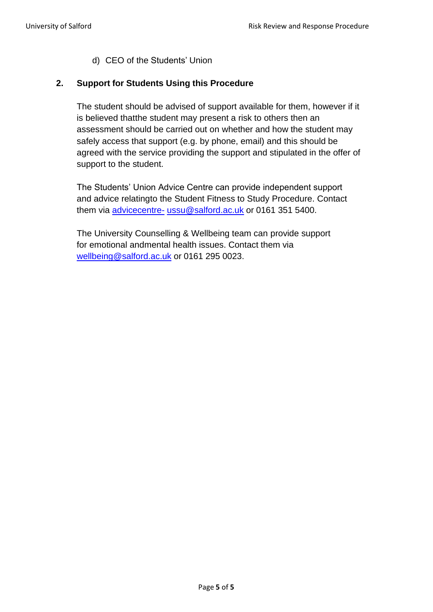d) CEO of the Students' Union

## <span id="page-4-0"></span>**2. Support for Students Using this Procedure**

The student should be advised of support available for them, however if it is believed thatthe student may present a risk to others then an assessment should be carried out on whether and how the student may safely access that support (e.g. by phone, email) and this should be agreed with the service providing the support and stipulated in the offer of support to the student.

The Students' Union Advice Centre can provide independent support and advice relatingto the Student Fitness to Study Procedure. Contact them via [advicecentre-](mailto:advicecentre-ussu@salford.ac.uk) [ussu@salford.ac.uk](mailto:advicecentre-ussu@salford.ac.uk) or 0161 351 5400.

The University Counselling & Wellbeing team can provide support for emotional andmental health issues. Contact them via [wellbeing@salford.ac.uk](mailto:wellbeing@salford.ac.uk) or 0161 295 0023.